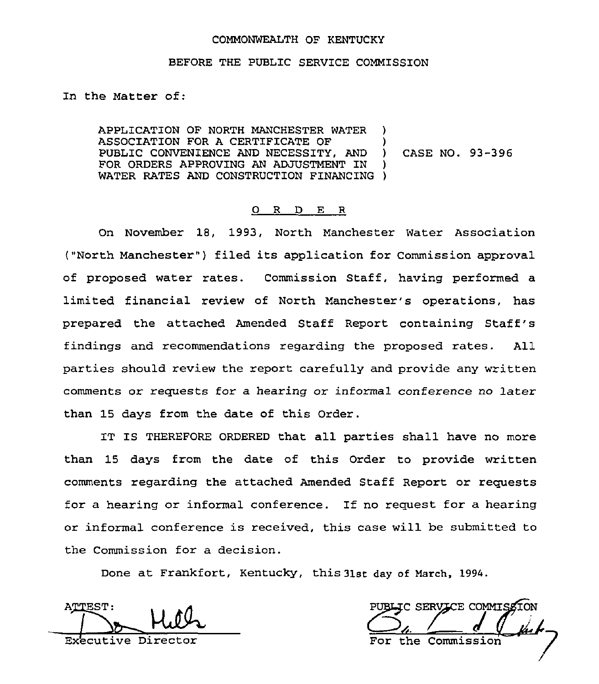#### COMMONWEALTH OF KENTUCKY

#### BEFORE THE PUBLIC SERVICE COMMISSION

In the Matter of:

APPLICATION OF NORTH MANCHESTER WATER ) ASSOCIATION FOR A CERTIFICATE OF  $\qquad$  )<br>PUBLIC CONVENIENCE AND NECESSITY. AND ) PUBLIC CONVENIENCE AND NECESSITY, AND ) FOR ORDERS APPROVING AN ADJUSTMENT IN WATER RATES AND CONSTRUCTION FINANCING ) CASE NO. 93-396

## 0 R <sup>D</sup> E R

On November 18, 1993, North Manchester Water Association ("North Manchester" ) filed its application for Commission approval of proposed water rates. Commission Staff, having performed a limited financial review of North Manchester's operations, has prepared the attached Amended Staff Report containing Staff's findings and recommendations regarding the proposed rates. All parties should review the report carefully and provide any written comments or requests for a hearing or informal conference no later than 15 days from the date of this Order.

IT IS THEREFORE ORDERED that all parties shall have no more than 15 days from the date of this Order to provide written comments regarding the attached Amended Staff Report or requests for a hearing or informal conference. If no request for a hearing or informal conference is received, this case will be submitted to the Commission for a decision.

Done at Frankfort, Kentucky, this 31st day of March, 1994.

ATTEST:  $\perp$ 

Executive Director

PUBLIC SERVICE COMMISSION For the Commission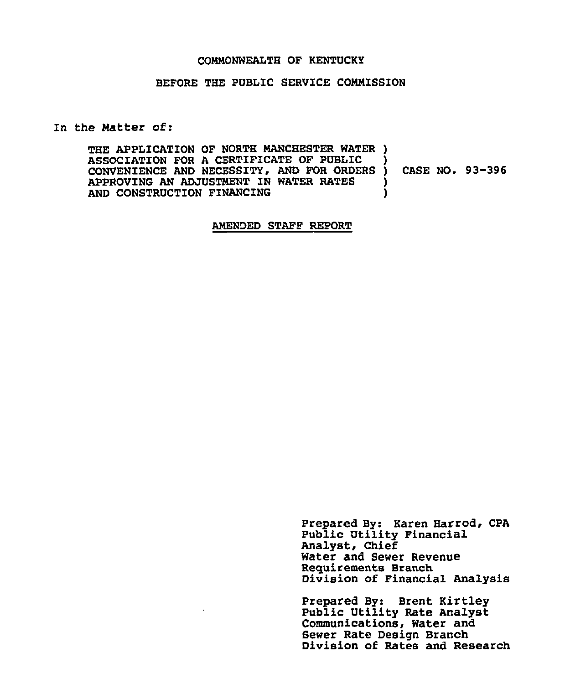#### CONNONWEALTH OF KENTUCKY

## BEFORE THE PUBLIC SERVICE CONNZSSION

In the Natter of:

THE APPLICATION OF NORTH MANCHESTER WATER ) ASSOCIATION FOR A CERTIFICATE OF PUBLIC CONVENIENCE AND NECESSITY, AND FOR ORDERS APPROVING AN ADJUSTMENT IN WATER RATES AND CONSTRUCTION FINANCING ) ) CASE NO. 93-396 ) )

#### ANEHDED STAFF REPORT

Prepared By: Karen Harrod, CPA Public Utility Financial Analyst, Chief Water and Sewer Revenue Requirements Branch Division of Financial Analysis

Prepared By: Brent Kirtley Public Utility Rate Analyst Communications, Water and Sewer Rate Design Branch Division of Rates and Research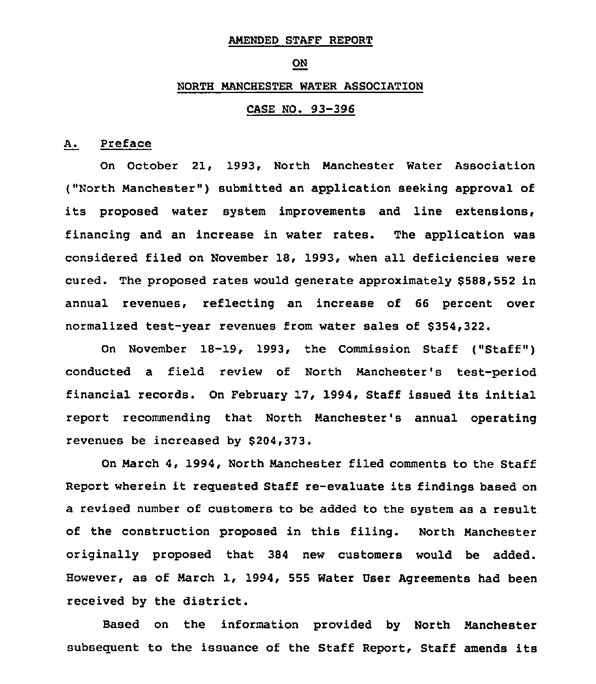#### AMENDED STAFF REPORT

#### ON

#### NORTH MANCHESTER WATER ASSOCIATION

# CASE NO. 93-396

## A. Preface

On October 21, 1993, North Manchester Water Association ("North Manchester") submitted an application seeking approval of its proposed water system improvements and line extensions, financing and an increase in water rates. The application was considered filed on November 18, 1993, when all deficiencies were cured. The proposed rates would generate approximately \$588,552 in annual revenues, reflecting an increase of 66 percent over normalized test-year revenues from water sales of \$354,322.

On November 18-19, 1993, the Commission Staff ("Staff" ) conducted a field review of North Manchester's test-period financial records. On February 17, 1994, Staff issued its initial report recommending that North Manchester's annual operating revenues be increased by 8204,323.

On March 4, 1994, North Manchester filed comments to the Staff Report wherein it requested Staff re-evaluate its findings based on a revised number of customers to be added to the system as a result of the construction proposed in this filing. North Manchester originally proposed that 384 new customers would be added. However, as of March 1, 1994, 555 Water User Agreements had been received by the district.

Based on the information provided by North Manchester subsequent to the issuance of the Staff Report, Staff amends its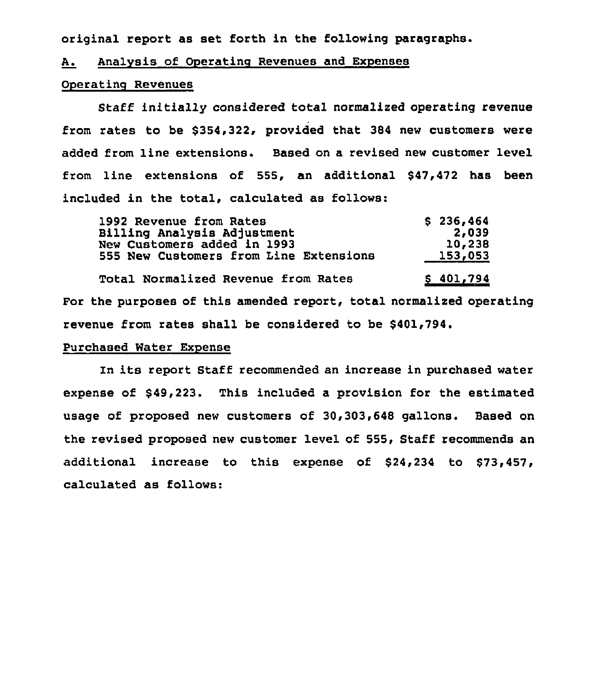original report as set forth in the following paragraphs.

#### A. Analysis of Operating Revenues and Expenses

#### Operating Revenues

Staff initially considered total normalized operating revenue from rates to be \$354,322, provided that 384 new customers were added from line extensions. Based on a revised new customer level from line extensions of 555, an additional \$47,472 has been included in the total, calculated as follows:

| 1992 Revenue from Rates                | \$236,464 |
|----------------------------------------|-----------|
| Billing Analysis Adjustment            | 2,039     |
| New Customers added in 1993            | 10,238    |
| 555 New Customers from Line Extensions | 153,053   |
| Total Normalized Revenue from Rates    | \$401,794 |

For the purposes of this amended report, total normalized operating revenue from rates shall be considered to be \$401,794.

## Purchased Water Expense

In its report Staff recommended an increase in purchased water expense of \$49,223. This included a provision for the estimated usage of proposed new customers of 30,303,648 gallons. Based on the revised proposed new customer level of 555, Staff recommends an additional increase to this expense of \$24,234 to \$73,457, calculated as follows: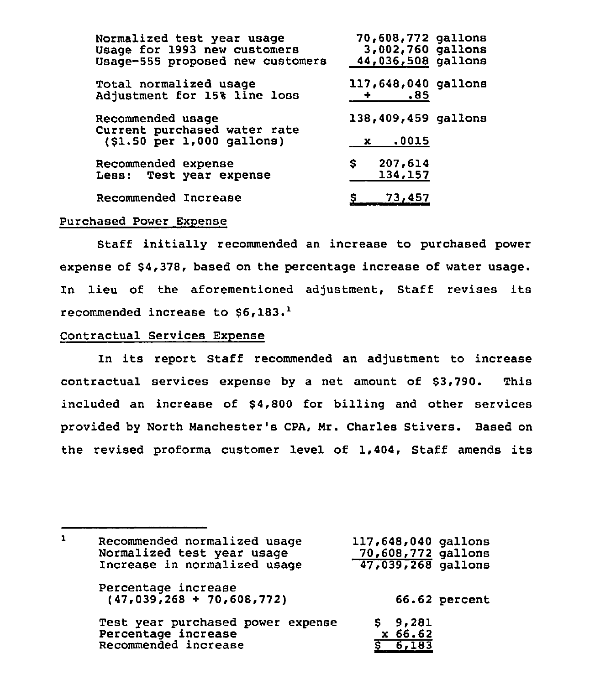| Normalized test year usage<br>Usage for 1993 new customers<br>Usage-555 proposed new customers | 70,608,772 gallons<br>3,002,760 gallons<br>44,036,508 gallons |
|------------------------------------------------------------------------------------------------|---------------------------------------------------------------|
| Total normalized usage<br>Adjustment for 15% line loss                                         | 117,648,040 gallons<br>$\overline{\phantom{1}}$ .85           |
| Recommended usage<br>Current purchased water rate<br>(\$1.50 per 1,000 gallons)                | 138,409,459 gallons<br>x .0015                                |
| Recommended expense<br>Less: Test year expense                                                 | 207,614<br>\$<br>134,157                                      |
| Recommended Increase                                                                           | $S = 73,457$                                                  |

#### Purchased Power Expense

Staff initially recommended an increase to purchased power expense of \$4,378, based on the percentage increase of water usage. In lieu of the aforementioned adjustment, Staff revises its recommended increase to  $$6.183.<sup>1</sup>$ 

## Contractual Services Expense

In its report Staff recommended an adjustment to increase contractual services expense by a net amount of \$3,790. This included an increase of \$4,800 for billing and other services provided by North Manchester's CPA, Mr. Charles Stivers. Based on the revised proforma customer level of 1,404, Staff amends its

 $\mathbf{1}$ 117,648,040 gallons Recommended normalized usage Normalized test year usage 70,608,772 gallons Increase in normalized usage 47,039,268 gallons Percentage increase (47,039,268 + 70,608,772) 66.62 percent Test year purchased power expense \$ 9,281 Percentage increase x 66.62 Recommended increase <sup>8</sup> 6,183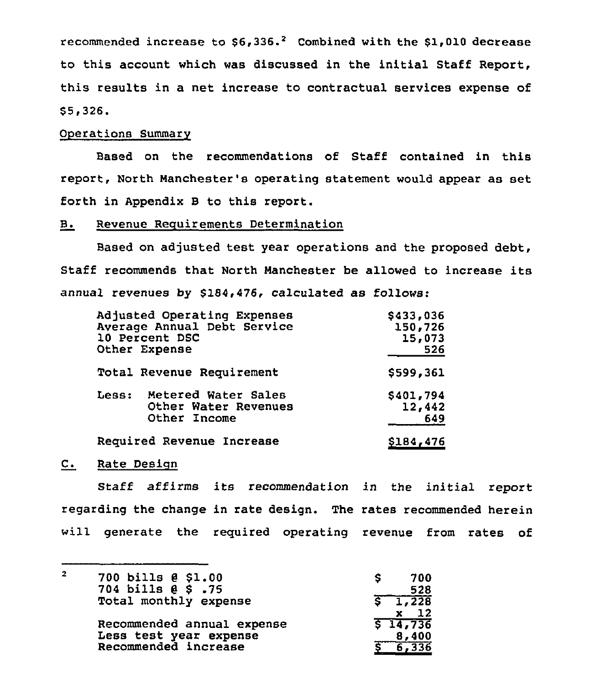recommended increase to  $$6,336.<sup>2</sup>$  Combined with the \$1,010 decrease to this account which was discussed in the initial Staff Report, this results in a net increase to contractual services expense of \$ 5,326.

## Operations Summary

Based on the recommendations of Staff contained in this report, North Manchester's operating statement would appear as set forth in Appendix B to this report.

## B. Revenue Requirements Determination

Based on adjusted test year operations and the proposed debt, Staff recommends that North Manchester be allowed to increase its annual revenues by \$184,476, calculated as follows:

| Adjusted Operating Expenses<br>Average Annual Debt Service<br>10 Percent DSC<br>Other Expense | \$433,036<br>150,726<br>15,073<br>526 |
|-----------------------------------------------------------------------------------------------|---------------------------------------|
| Total Revenue Requirement                                                                     | \$599,361                             |
| Less:<br>Metered Water Sales<br>Other Water Revenues<br>Other Income                          | \$401,794<br>12,442<br>649            |
| Required Revenue Increase                                                                     | \$184,476                             |

## C. Rate Design

Staff affirms its recommendation in the initial report regarding the change in rate design. The rates recommended herein will generate the required operating revenue from rates of

| 700 bills @ \$1.00         |                      |
|----------------------------|----------------------|
| 704 bills @ \$ .75         | 528                  |
| Total monthly expense      | 1,228                |
|                            | - 12                 |
| Recommended annual expense | $5\overline{14,736}$ |
| Less test year expense     | 8,400                |
| Recommended increase       |                      |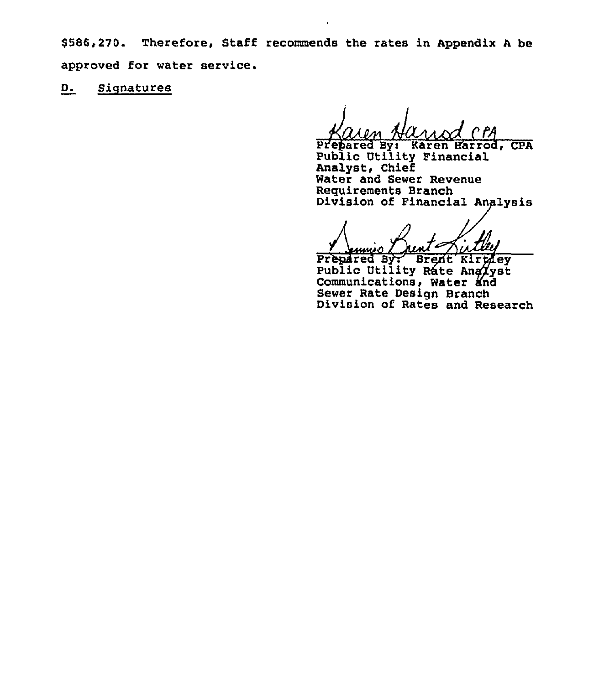\$586,270. Therefore, Staff recommends the rates in Appendix A be approved for water service.

 $D_{\bullet}$ Signatures

Karen Harrod, CPA Prepared By: Public Utility Financial Analyst, Chief Water and Sewer Revenue Requirements Branch Division of Financial Analysis

Prepared By: Brent Kirtley<br>Public Utility Rate Anglyst Communications, Water and Sewer Rate Design Branch Division of Rates and Research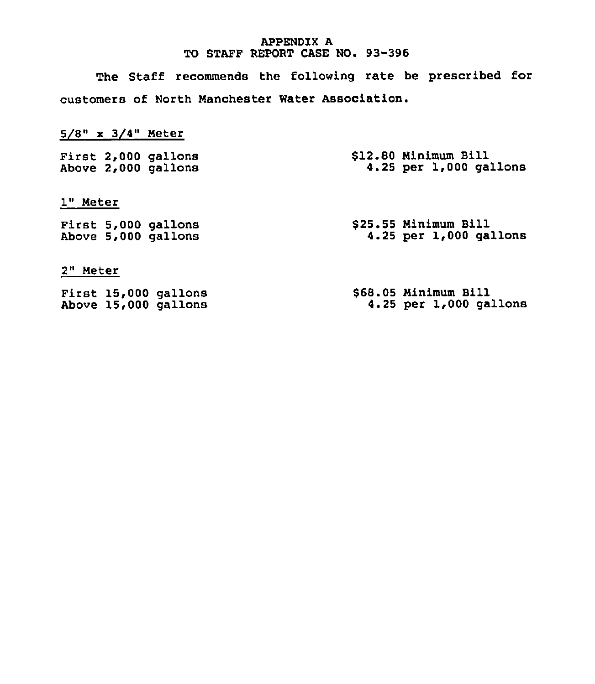## APPENDIX A TO STAFF REPORT CASE HO. 93-396

The Staff recommends the following rate be prescribed for customers of North Manchester Water Association.

# 5/8" x 3/4" Meter

|  | First 2,000 gallons | \$12.80 Minimum Bill |  |                        |
|--|---------------------|----------------------|--|------------------------|
|  | Above 2,000 gallons |                      |  | 4.25 per 1,000 gallons |

1" Meter

|  | First 5,000 gallons | \$25.55 Minimum Bill |  |                        |  |
|--|---------------------|----------------------|--|------------------------|--|
|  | Above 5,000 gallons |                      |  | 4.25 per 1,000 gallons |  |

## 2" Meter

|  | First 15,000 gallons | \$68.05 Minimum Bill |  |                            |
|--|----------------------|----------------------|--|----------------------------|
|  | Above 15,000 gallons |                      |  | $4.25$ per $1,000$ gallons |